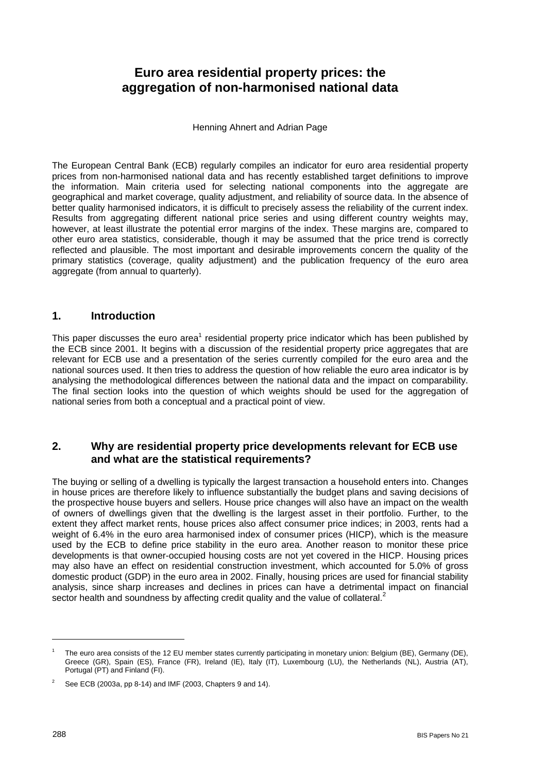# **Euro area residential property prices: the aggregation of non-harmonised national data**

Henning Ahnert and Adrian Page

The European Central Bank (ECB) regularly compiles an indicator for euro area residential property prices from non-harmonised national data and has recently established target definitions to improve the information. Main criteria used for selecting national components into the aggregate are geographical and market coverage, quality adjustment, and reliability of source data. In the absence of better quality harmonised indicators, it is difficult to precisely assess the reliability of the current index. Results from aggregating different national price series and using different country weights may, however, at least illustrate the potential error margins of the index. These margins are, compared to other euro area statistics, considerable, though it may be assumed that the price trend is correctly reflected and plausible. The most important and desirable improvements concern the quality of the primary statistics (coverage, quality adjustment) and the publication frequency of the euro area aggregate (from annual to quarterly).

# **1. Introduction**

This paper discusses the euro area<sup>[1](#page-0-0)</sup> residential property price indicator which has been published by the ECB since 2001. It begins with a discussion of the residential property price aggregates that are relevant for ECB use and a presentation of the series currently compiled for the euro area and the national sources used. It then tries to address the question of how reliable the euro area indicator is by analysing the methodological differences between the national data and the impact on comparability. The final section looks into the question of which weights should be used for the aggregation of national series from both a conceptual and a practical point of view.

# **2. Why are residential property price developments relevant for ECB use and what are the statistical requirements?**

The buying or selling of a dwelling is typically the largest transaction a household enters into. Changes in house prices are therefore likely to influence substantially the budget plans and saving decisions of the prospective house buyers and sellers. House price changes will also have an impact on the wealth of owners of dwellings given that the dwelling is the largest asset in their portfolio. Further, to the extent they affect market rents, house prices also affect consumer price indices; in 2003, rents had a weight of 6.4% in the euro area harmonised index of consumer prices (HICP), which is the measure used by the ECB to define price stability in the euro area. Another reason to monitor these price developments is that owner-occupied housing costs are not yet covered in the HICP. Housing prices may also have an effect on residential construction investment, which accounted for 5.0% of gross domestic product (GDP) in the euro area in 2002. Finally, housing prices are used for financial stability analysis, since sharp increases and declines in prices can have a detrimental impact on financial sector health and soundness by affecting credit quality and the value of collateral.<sup>[2](#page-0-1)</sup>

<span id="page-0-0"></span>The euro area consists of the 12 EU member states currently participating in monetary union: Belgium (BE), Germany (DE), Greece (GR), Spain (ES), France (FR), Ireland (IE), Italy (IT), Luxembourg (LU), the Netherlands (NL), Austria (AT), Portugal (PT) and Finland (FI).

<span id="page-0-1"></span><sup>&</sup>lt;sup>2</sup> See ECB (2003a, pp 8-14) and IMF (2003, Chapters 9 and 14).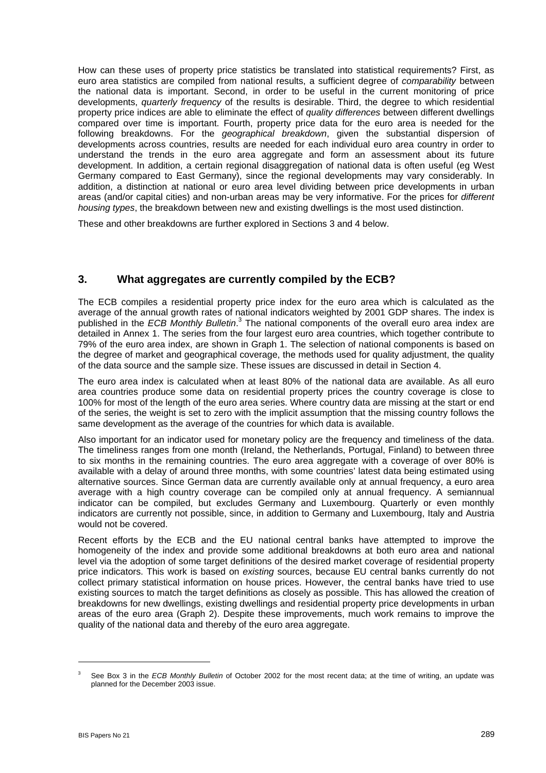How can these uses of property price statistics be translated into statistical requirements? First, as euro area statistics are compiled from national results, a sufficient degree of *comparability* between the national data is important. Second, in order to be useful in the current monitoring of price developments, *quarterly frequency* of the results is desirable. Third, the degree to which residential property price indices are able to eliminate the effect of *quality differences* between different dwellings compared over time is important. Fourth, property price data for the euro area is needed for the following breakdowns. For the *geographical breakdown*, given the substantial dispersion of developments across countries, results are needed for each individual euro area country in order to understand the trends in the euro area aggregate and form an assessment about its future development. In addition, a certain regional disaggregation of national data is often useful (eg West Germany compared to East Germany), since the regional developments may vary considerably. In addition, a distinction at national or euro area level dividing between price developments in urban areas (and/or capital cities) and non-urban areas may be very informative. For the prices for *different housing types*, the breakdown between new and existing dwellings is the most used distinction.

These and other breakdowns are further explored in Sections 3 and 4 below.

# **3. What aggregates are currently compiled by the ECB?**

The ECB compiles a residential property price index for the euro area which is calculated as the average of the annual growth rates of national indicators weighted by 2001 GDP shares. The index is published in the *ECB Monthly Bulletin*.<sup>[3](#page-1-0)</sup> The national components of the overall euro area index are detailed in Annex 1. The series from the four largest euro area countries, which together contribute to 79% of the euro area index, are shown in Graph 1. The selection of national components is based on the degree of market and geographical coverage, the methods used for quality adjustment, the quality of the data source and the sample size. These issues are discussed in detail in Section 4.

The euro area index is calculated when at least 80% of the national data are available. As all euro area countries produce some data on residential property prices the country coverage is close to 100% for most of the length of the euro area series. Where country data are missing at the start or end of the series, the weight is set to zero with the implicit assumption that the missing country follows the same development as the average of the countries for which data is available.

Also important for an indicator used for monetary policy are the frequency and timeliness of the data. The timeliness ranges from one month (Ireland, the Netherlands, Portugal, Finland) to between three to six months in the remaining countries. The euro area aggregate with a coverage of over 80% is available with a delay of around three months, with some countries' latest data being estimated using alternative sources. Since German data are currently available only at annual frequency, a euro area average with a high country coverage can be compiled only at annual frequency. A semiannual indicator can be compiled, but excludes Germany and Luxembourg. Quarterly or even monthly indicators are currently not possible, since, in addition to Germany and Luxembourg, Italy and Austria would not be covered.

Recent efforts by the ECB and the EU national central banks have attempted to improve the homogeneity of the index and provide some additional breakdowns at both euro area and national level via the adoption of some target definitions of the desired market coverage of residential property price indicators. This work is based on *existing* sources, because EU central banks currently do not collect primary statistical information on house prices. However, the central banks have tried to use existing sources to match the target definitions as closely as possible. This has allowed the creation of breakdowns for new dwellings, existing dwellings and residential property price developments in urban areas of the euro area (Graph 2). Despite these improvements, much work remains to improve the quality of the national data and thereby of the euro area aggregate.

<span id="page-1-0"></span><sup>3</sup> See Box 3 in the *ECB Monthly Bulletin* of October 2002 for the most recent data; at the time of writing, an update was planned for the December 2003 issue.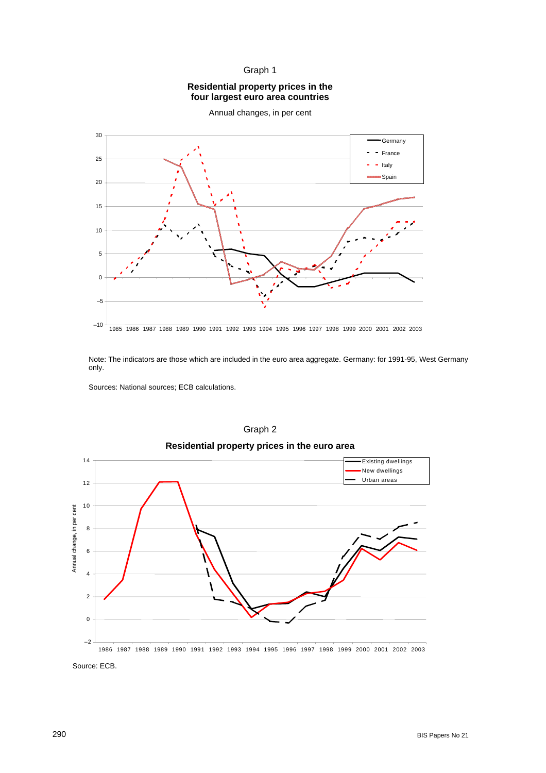#### Graph 1

#### **Residential property prices in the four largest euro area countries**



Annual changes, in per cent

Note: The indicators are those which are included in the euro area aggregate. Germany: for 1991-95, West Germany only.

Sources: National sources; ECB calculations.



Graph 2

Source: ECB.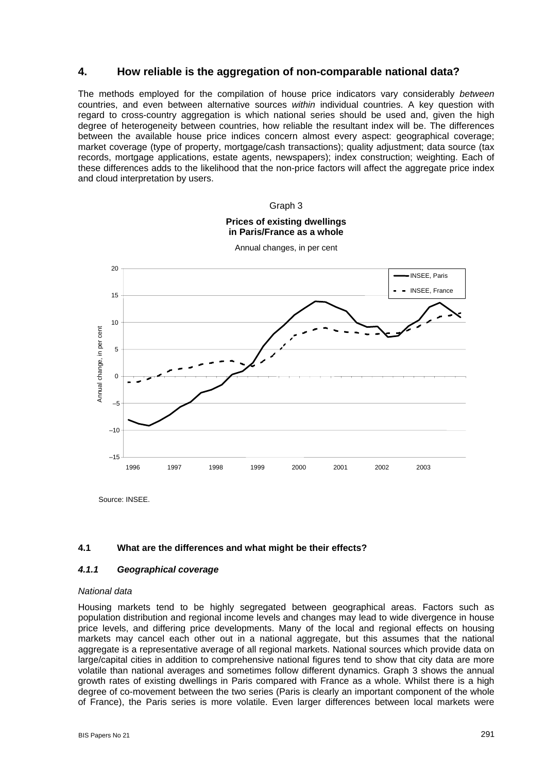### **4. How reliable is the aggregation of non-comparable national data?**

The methods employed for the compilation of house price indicators vary considerably *between* countries, and even between alternative sources *within* individual countries. A key question with regard to cross-country aggregation is which national series should be used and, given the high degree of heterogeneity between countries, how reliable the resultant index will be. The differences between the available house price indices concern almost every aspect: geographical coverage; market coverage (type of property, mortgage/cash transactions); quality adjustment; data source (tax records, mortgage applications, estate agents, newspapers); index construction; weighting. Each of these differences adds to the likelihood that the non-price factors will affect the aggregate price index and cloud interpretation by users.



Source: INSEE.

#### **4.1 What are the differences and what might be their effects?**

#### *4.1.1 Geographical coverage*

#### *National data*

Housing markets tend to be highly segregated between geographical areas. Factors such as population distribution and regional income levels and changes may lead to wide divergence in house price levels, and differing price developments. Many of the local and regional effects on housing markets may cancel each other out in a national aggregate, but this assumes that the national aggregate is a representative average of all regional markets. National sources which provide data on large/capital cities in addition to comprehensive national figures tend to show that city data are more volatile than national averages and sometimes follow different dynamics. Graph 3 shows the annual growth rates of existing dwellings in Paris compared with France as a whole. Whilst there is a high degree of co-movement between the two series (Paris is clearly an important component of the whole of France), the Paris series is more volatile. Even larger differences between local markets were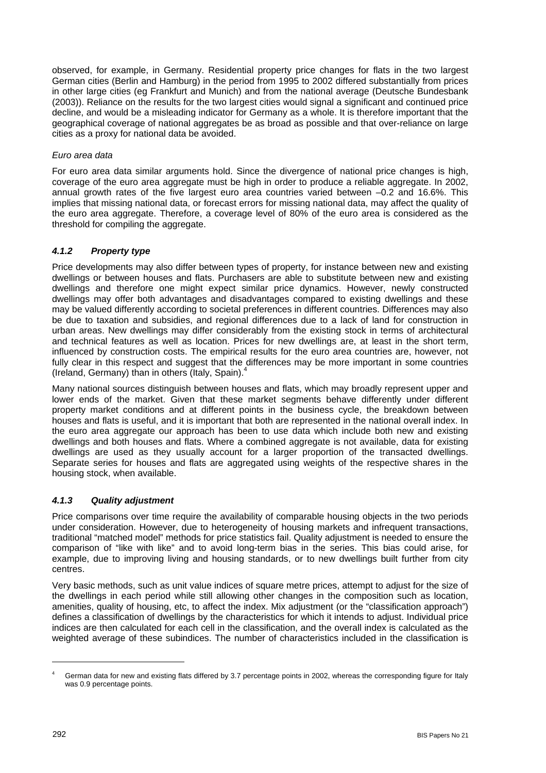observed, for example, in Germany. Residential property price changes for flats in the two largest German cities (Berlin and Hamburg) in the period from 1995 to 2002 differed substantially from prices in other large cities (eg Frankfurt and Munich) and from the national average (Deutsche Bundesbank (2003)). Reliance on the results for the two largest cities would signal a significant and continued price decline, and would be a misleading indicator for Germany as a whole. It is therefore important that the geographical coverage of national aggregates be as broad as possible and that over-reliance on large cities as a proxy for national data be avoided.

#### *Euro area data*

For euro area data similar arguments hold. Since the divergence of national price changes is high, coverage of the euro area aggregate must be high in order to produce a reliable aggregate. In 2002, annual growth rates of the five largest euro area countries varied between –0.2 and 16.6%. This implies that missing national data, or forecast errors for missing national data, may affect the quality of the euro area aggregate. Therefore, a coverage level of 80% of the euro area is considered as the threshold for compiling the aggregate.

#### *4.1.2 Property type*

Price developments may also differ between types of property, for instance between new and existing dwellings or between houses and flats. Purchasers are able to substitute between new and existing dwellings and therefore one might expect similar price dynamics. However, newly constructed dwellings may offer both advantages and disadvantages compared to existing dwellings and these may be valued differently according to societal preferences in different countries. Differences may also be due to taxation and subsidies, and regional differences due to a lack of land for construction in urban areas. New dwellings may differ considerably from the existing stock in terms of architectural and technical features as well as location. Prices for new dwellings are, at least in the short term, influenced by construction costs. The empirical results for the euro area countries are, however, not fully clear in this respect and suggest that the differences may be more important in some countries (Ireland, Germany) than in others (Italy, Spain). $<sup>4</sup>$  $<sup>4</sup>$  $<sup>4</sup>$ </sup>

Many national sources distinguish between houses and flats, which may broadly represent upper and lower ends of the market. Given that these market segments behave differently under different property market conditions and at different points in the business cycle, the breakdown between houses and flats is useful, and it is important that both are represented in the national overall index. In the euro area aggregate our approach has been to use data which include both new and existing dwellings and both houses and flats. Where a combined aggregate is not available, data for existing dwellings are used as they usually account for a larger proportion of the transacted dwellings. Separate series for houses and flats are aggregated using weights of the respective shares in the housing stock, when available.

#### *4.1.3 Quality adjustment*

Price comparisons over time require the availability of comparable housing objects in the two periods under consideration. However, due to heterogeneity of housing markets and infrequent transactions, traditional "matched model" methods for price statistics fail. Quality adjustment is needed to ensure the comparison of "like with like" and to avoid long-term bias in the series. This bias could arise, for example, due to improving living and housing standards, or to new dwellings built further from city centres.

Very basic methods, such as unit value indices of square metre prices, attempt to adjust for the size of the dwellings in each period while still allowing other changes in the composition such as location, amenities, quality of housing, etc, to affect the index. Mix adjustment (or the "classification approach") defines a classification of dwellings by the characteristics for which it intends to adjust. Individual price indices are then calculated for each cell in the classification, and the overall index is calculated as the weighted average of these subindices. The number of characteristics included in the classification is

<span id="page-4-0"></span><sup>4</sup> German data for new and existing flats differed by 3.7 percentage points in 2002, whereas the corresponding figure for Italy was 0.9 percentage points.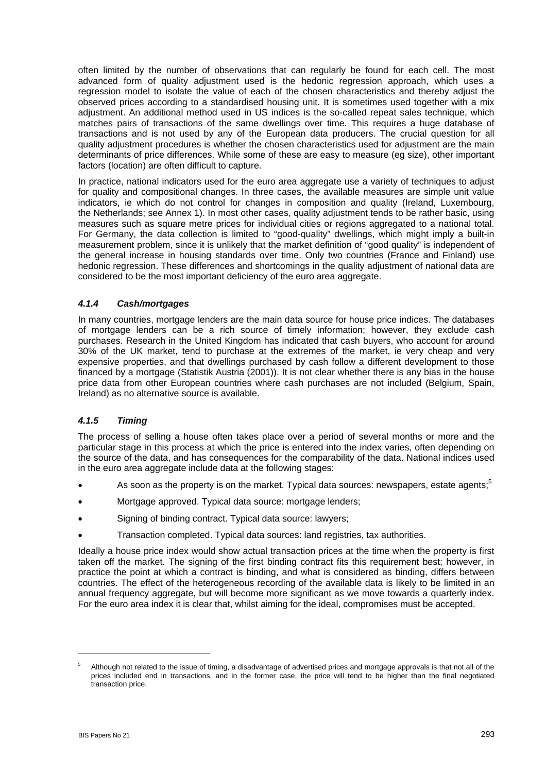often limited by the number of observations that can regularly be found for each cell. The most advanced form of quality adjustment used is the hedonic regression approach, which uses a regression model to isolate the value of each of the chosen characteristics and thereby adjust the observed prices according to a standardised housing unit. It is sometimes used together with a mix adjustment. An additional method used in US indices is the so-called repeat sales technique, which matches pairs of transactions of the same dwellings over time. This requires a huge database of transactions and is not used by any of the European data producers. The crucial question for all quality adjustment procedures is whether the chosen characteristics used for adjustment are the main determinants of price differences. While some of these are easy to measure (eg size), other important factors (location) are often difficult to capture.

In practice, national indicators used for the euro area aggregate use a variety of techniques to adjust for quality and compositional changes. In three cases, the available measures are simple unit value indicators, ie which do not control for changes in composition and quality (Ireland, Luxembourg, the Netherlands; see Annex 1). In most other cases, quality adjustment tends to be rather basic, using measures such as square metre prices for individual cities or regions aggregated to a national total. For Germany, the data collection is limited to "good-quality" dwellings, which might imply a built-in measurement problem, since it is unlikely that the market definition of "good quality" is independent of the general increase in housing standards over time. Only two countries (France and Finland) use hedonic regression. These differences and shortcomings in the quality adjustment of national data are considered to be the most important deficiency of the euro area aggregate.

#### *4.1.4 Cash/mortgages*

In many countries, mortgage lenders are the main data source for house price indices. The databases of mortgage lenders can be a rich source of timely information; however, they exclude cash purchases. Research in the United Kingdom has indicated that cash buyers, who account for around 30% of the UK market, tend to purchase at the extremes of the market, ie very cheap and very expensive properties, and that dwellings purchased by cash follow a different development to those financed by a mortgage (Statistik Austria (2001)). It is not clear whether there is any bias in the house price data from other European countries where cash purchases are not included (Belgium, Spain, Ireland) as no alternative source is available.

#### *4.1.5 Timing*

The process of selling a house often takes place over a period of several months or more and the particular stage in this process at which the price is entered into the index varies, often depending on the source of the data, and has consequences for the comparability of the data. National indices used in the euro area aggregate include data at the following stages:

- As soon as the property is on the market. Typical data sources: newspapers, estate agents:<sup>[5](#page-5-0)</sup>
- Mortgage approved. Typical data source: mortgage lenders;
- Signing of binding contract. Typical data source: lawyers;
- Transaction completed. Typical data sources: land registries, tax authorities.

Ideally a house price index would show actual transaction prices at the time when the property is first taken off the market. The signing of the first binding contract fits this requirement best; however, in practice the point at which a contract is binding, and what is considered as binding, differs between countries. The effect of the heterogeneous recording of the available data is likely to be limited in an annual frequency aggregate, but will become more significant as we move towards a quarterly index. For the euro area index it is clear that, whilst aiming for the ideal, compromises must be accepted.

 $\overline{a}$ 

<span id="page-5-0"></span>Although not related to the issue of timing, a disadvantage of advertised prices and mortgage approvals is that not all of the prices included end in transactions, and in the former case, the price will tend to be higher than the final negotiated transaction price.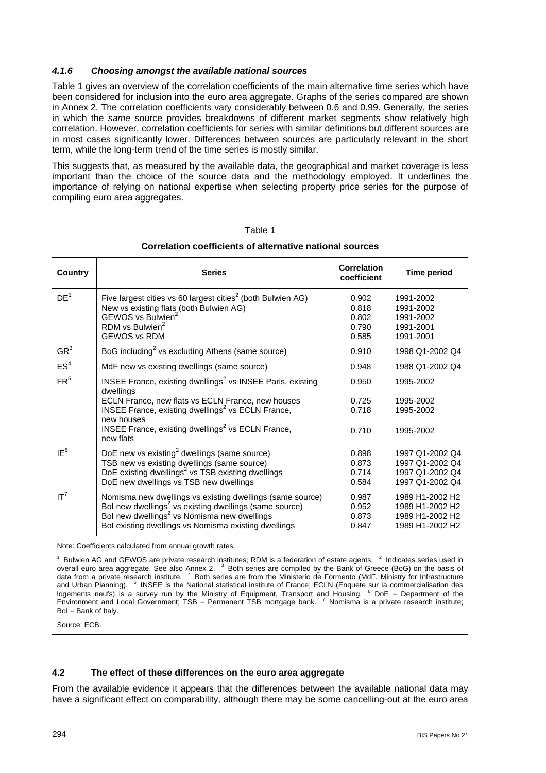#### *4.1.6 Choosing amongst the available national sources*

Table 1 gives an overview of the correlation coefficients of the main alternative time series which have been considered for inclusion into the euro area aggregate. Graphs of the series compared are shown in Annex 2. The correlation coefficients vary considerably between 0.6 and 0.99. Generally, the series in which the *same* source provides breakdowns of different market segments show relatively high correlation. However, correlation coefficients for series with similar definitions but different sources are in most cases significantly lower. Differences between sources are particularly relevant in the short term, while the long-term trend of the time series is mostly similar.

This suggests that, as measured by the available data, the geographical and market coverage is less important than the choice of the source data and the methodology employed. It underlines the importance of relying on national expertise when selecting property price series for the purpose of compiling euro area aggregates.

| Country         | <b>Series</b>                                                                                                                                                                                                                                                                                         | <b>Correlation</b><br>coefficient         | <b>Time period</b>                                                       |
|-----------------|-------------------------------------------------------------------------------------------------------------------------------------------------------------------------------------------------------------------------------------------------------------------------------------------------------|-------------------------------------------|--------------------------------------------------------------------------|
| DE <sup>1</sup> | Five largest cities vs 60 largest cities <sup>2</sup> (both Bulwien AG)<br>New vs existing flats (both Bulwien AG)<br>GEWOS vs Bulwien <sup>2</sup><br>RDM vs Bulwien <sup>2</sup><br><b>GEWOS vs RDM</b>                                                                                             | 0.902<br>0.818<br>0.802<br>0.790<br>0.585 | 1991-2002<br>1991-2002<br>1991-2002<br>1991-2001<br>1991-2001            |
| GR <sup>3</sup> | BoG including <sup>2</sup> vs excluding Athens (same source)                                                                                                                                                                                                                                          | 0.910                                     | 1998 Q1-2002 Q4                                                          |
| ES <sup>4</sup> | MdF new vs existing dwellings (same source)                                                                                                                                                                                                                                                           | 0.948                                     | 1988 Q1-2002 Q4                                                          |
| FR <sup>5</sup> | INSEE France, existing dwellings <sup>2</sup> vs INSEE Paris, existing<br>dwellings<br>ECLN France, new flats vs ECLN France, new houses<br>INSEE France, existing dwellings <sup>2</sup> vs ECLN France,<br>new houses<br>INSEE France, existing dwellings <sup>2</sup> vs ECLN France,<br>new flats | 0.950<br>0.725<br>0.718<br>0.710          | 1995-2002<br>1995-2002<br>1995-2002<br>1995-2002                         |
| IE <sup>6</sup> | DoE new vs existing <sup>2</sup> dwellings (same source)<br>TSB new vs existing dwellings (same source)<br>DoE existing dwellings <sup>2</sup> vs TSB existing dwellings<br>DoE new dwellings vs TSB new dwellings                                                                                    | 0.898<br>0.873<br>0.714<br>0.584          | 1997 Q1-2002 Q4<br>1997 Q1-2002 Q4<br>1997 Q1-2002 Q4<br>1997 Q1-2002 Q4 |
| IT <sup>7</sup> | Nomisma new dwellings vs existing dwellings (same source)<br>Bol new dwellings <sup>2</sup> vs existing dwellings (same source)<br>Bol new dwellings <sup>2</sup> vs Nomisma new dwellings<br>Bol existing dwellings vs Nomisma existing dwellings                                                    | 0.987<br>0.952<br>0.873<br>0.847          | 1989 H1-2002 H2<br>1989 H1-2002 H2<br>1989 H1-2002 H2<br>1989 H1-2002 H2 |

# Table 1 **Correlation coefficients of alternative national sources**

Note: Coefficients calculated from annual growth rates.

 $1$  Bulwien AG and GEWOS are private research institutes; RDM is a federation of estate agents.  $2$  Indicates series used in overall euro area aggregate. See also Annex 2. <sup>3</sup> Both series are compiled by the Bank of Greece (BoG) on the basis of data from a private research institute. <sup>4</sup> Both series are from the Ministerio de Formento (MdF, Ministry for Infrastructure and Urban Planning). <sup>5</sup> INSEE is the National statistical institute of France; ECLN (Enquete sur la commercialisation des logements neufs) is a survey run by the Ministry of Equipment, Transport and Housing. <sup>6</sup> DoE = Department of the Environment and Local Government; TSB = Permanent TSB mortgage bank. <sup>7</sup> Nomisma is a private research institute; BoI = Bank of Italy.

Source: ECB.

#### **4.2 The effect of these differences on the euro area aggregate**

From the available evidence it appears that the differences between the available national data may have a significant effect on comparability, although there may be some cancelling-out at the euro area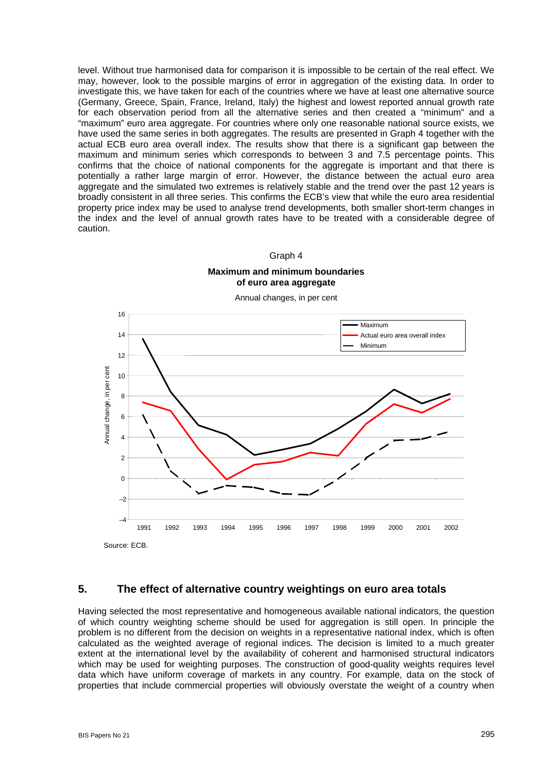level. Without true harmonised data for comparison it is impossible to be certain of the real effect. We may, however, look to the possible margins of error in aggregation of the existing data. In order to investigate this, we have taken for each of the countries where we have at least one alternative source (Germany, Greece, Spain, France, Ireland, Italy) the highest and lowest reported annual growth rate for each observation period from all the alternative series and then created a "minimum" and a "maximum" euro area aggregate. For countries where only one reasonable national source exists, we have used the same series in both aggregates. The results are presented in Graph 4 together with the actual ECB euro area overall index. The results show that there is a significant gap between the maximum and minimum series which corresponds to between 3 and 7.5 percentage points. This confirms that the choice of national components for the aggregate is important and that there is potentially a rather large margin of error. However, the distance between the actual euro area aggregate and the simulated two extremes is relatively stable and the trend over the past 12 years is broadly consistent in all three series. This confirms the ECB's view that while the euro area residential property price index may be used to analyse trend developments, both smaller short-term changes in the index and the level of annual growth rates have to be treated with a considerable degree of caution.

#### Graph 4

#### **Maximum and minimum boundaries of euro area aggregate**

Annual changes, in per cent



### **5. The effect of alternative country weightings on euro area totals**

Having selected the most representative and homogeneous available national indicators, the question of which country weighting scheme should be used for aggregation is still open. In principle the problem is no different from the decision on weights in a representative national index, which is often calculated as the weighted average of regional indices. The decision is limited to a much greater extent at the international level by the availability of coherent and harmonised structural indicators which may be used for weighting purposes. The construction of good-quality weights requires level data which have uniform coverage of markets in any country. For example, data on the stock of properties that include commercial properties will obviously overstate the weight of a country when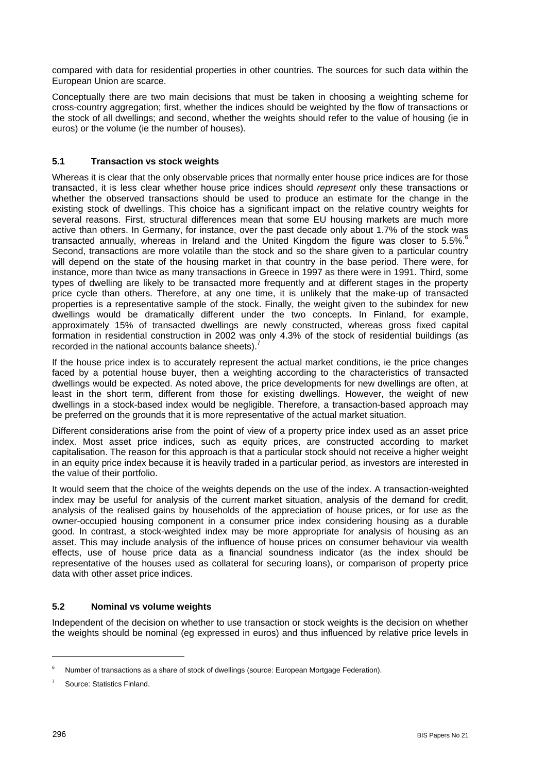compared with data for residential properties in other countries. The sources for such data within the European Union are scarce.

Conceptually there are two main decisions that must be taken in choosing a weighting scheme for cross-country aggregation; first, whether the indices should be weighted by the flow of transactions or the stock of all dwellings; and second, whether the weights should refer to the value of housing (ie in euros) or the volume (ie the number of houses).

#### **5.1 Transaction vs stock weights**

Whereas it is clear that the only observable prices that normally enter house price indices are for those transacted, it is less clear whether house price indices should *represent* only these transactions or whether the observed transactions should be used to produce an estimate for the change in the existing stock of dwellings. This choice has a significant impact on the relative country weights for several reasons. First, structural differences mean that some EU housing markets are much more active than others. In Germany, for instance, over the past decade only about 1.7% of the stock was transacted annually, whereas in Ireland and the United Kingdom the figure was closer to 5.5%.<sup>[6](#page-8-0)</sup> Second, transactions are more volatile than the stock and so the share given to a particular country will depend on the state of the housing market in that country in the base period. There were, for instance, more than twice as many transactions in Greece in 1997 as there were in 1991. Third, some types of dwelling are likely to be transacted more frequently and at different stages in the property price cycle than others. Therefore, at any one time, it is unlikely that the make-up of transacted properties is a representative sample of the stock. Finally, the weight given to the subindex for new dwellings would be dramatically different under the two concepts. In Finland, for example, approximately 15% of transacted dwellings are newly constructed, whereas gross fixed capital formation in residential construction in 2002 was only 4.3% of the stock of residential buildings (as recorded in the national accounts balance sheets).<sup>[7](#page-8-1)</sup>

If the house price index is to accurately represent the actual market conditions, ie the price changes faced by a potential house buyer, then a weighting according to the characteristics of transacted dwellings would be expected. As noted above, the price developments for new dwellings are often, at least in the short term, different from those for existing dwellings. However, the weight of new dwellings in a stock-based index would be negligible. Therefore, a transaction-based approach may be preferred on the grounds that it is more representative of the actual market situation.

Different considerations arise from the point of view of a property price index used as an asset price index. Most asset price indices, such as equity prices, are constructed according to market capitalisation. The reason for this approach is that a particular stock should not receive a higher weight in an equity price index because it is heavily traded in a particular period, as investors are interested in the value of their portfolio.

It would seem that the choice of the weights depends on the use of the index. A transaction-weighted index may be useful for analysis of the current market situation, analysis of the demand for credit, analysis of the realised gains by households of the appreciation of house prices, or for use as the owner-occupied housing component in a consumer price index considering housing as a durable good. In contrast, a stock-weighted index may be more appropriate for analysis of housing as an asset. This may include analysis of the influence of house prices on consumer behaviour via wealth effects, use of house price data as a financial soundness indicator (as the index should be representative of the houses used as collateral for securing loans), or comparison of property price data with other asset price indices.

# **5.2 Nominal vs volume weights**

Independent of the decision on whether to use transaction or stock weights is the decision on whether the weights should be nominal (eg expressed in euros) and thus influenced by relative price levels in

<span id="page-8-0"></span><sup>6</sup> Number of transactions as a share of stock of dwellings (source: European Mortgage Federation).

<span id="page-8-1"></span>Source: Statistics Finland.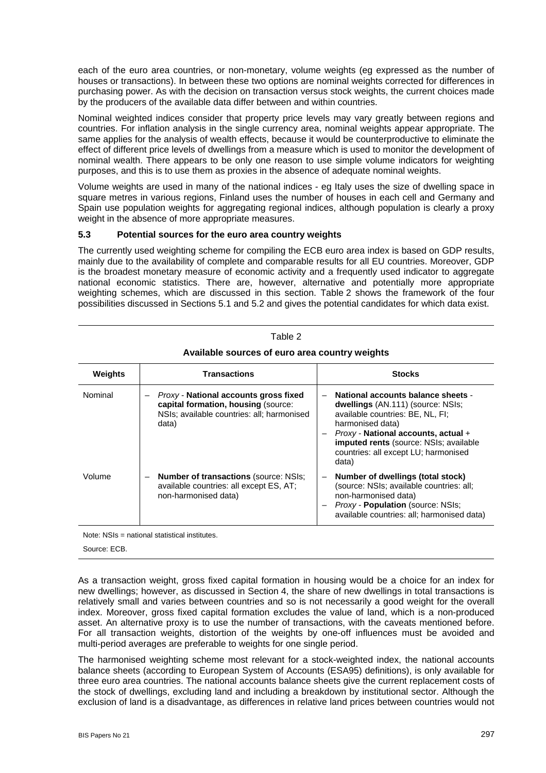each of the euro area countries, or non-monetary, volume weights (eg expressed as the number of houses or transactions). In between these two options are nominal weights corrected for differences in purchasing power. As with the decision on transaction versus stock weights, the current choices made by the producers of the available data differ between and within countries.

Nominal weighted indices consider that property price levels may vary greatly between regions and countries. For inflation analysis in the single currency area, nominal weights appear appropriate. The same applies for the analysis of wealth effects, because it would be counterproductive to eliminate the effect of different price levels of dwellings from a measure which is used to monitor the development of nominal wealth. There appears to be only one reason to use simple volume indicators for weighting purposes, and this is to use them as proxies in the absence of adequate nominal weights.

Volume weights are used in many of the national indices - eg Italy uses the size of dwelling space in square metres in various regions, Finland uses the number of houses in each cell and Germany and Spain use population weights for aggregating regional indices, although population is clearly a proxy weight in the absence of more appropriate measures.

#### **5.3 Potential sources for the euro area country weights**

The currently used weighting scheme for compiling the ECB euro area index is based on GDP results, mainly due to the availability of complete and comparable results for all EU countries. Moreover, GDP is the broadest monetary measure of economic activity and a frequently used indicator to aggregate national economic statistics. There are, however, alternative and potentially more appropriate weighting schemes, which are discussed in this section. Table 2 shows the framework of the four possibilities discussed in Sections 5.1 and 5.2 and gives the potential candidates for which data exist.

| <b>Weights</b> | <b>Transactions</b>                                                                                                                 | <b>Stocks</b>                                                                                                                                                                                                                                                       |
|----------------|-------------------------------------------------------------------------------------------------------------------------------------|---------------------------------------------------------------------------------------------------------------------------------------------------------------------------------------------------------------------------------------------------------------------|
| Nominal        | Proxy - National accounts gross fixed<br>capital formation, housing (source:<br>NSIs; available countries: all; harmonised<br>data) | National accounts balance sheets -<br>dwellings (AN.111) (source: NSIs;<br>available countries: BE, NL, FI;<br>harmonised data)<br>$Proxy$ - National accounts, actual +<br>imputed rents (source: NSIs; available<br>countries: all except LU; harmonised<br>data) |
| Volume         | <b>Number of transactions (source: NSIs;</b><br>available countries: all except ES, AT;<br>non-harmonised data)                     | Number of dwellings (total stock)<br>(source: NSIs; available countries: all;<br>non-harmonised data)<br>Proxy - Population (source: NSIs;<br>available countries: all; harmonised data)                                                                            |

# Table 2 **Available sources of euro area country weights**

Note: NSIs = national statistical institutes.

Source: ECB.

As a transaction weight, gross fixed capital formation in housing would be a choice for an index for new dwellings; however, as discussed in Section 4, the share of new dwellings in total transactions is relatively small and varies between countries and so is not necessarily a good weight for the overall index. Moreover, gross fixed capital formation excludes the value of land, which is a non-produced asset. An alternative proxy is to use the number of transactions, with the caveats mentioned before. For all transaction weights, distortion of the weights by one-off influences must be avoided and multi-period averages are preferable to weights for one single period.

The harmonised weighting scheme most relevant for a stock-weighted index, the national accounts balance sheets (according to European System of Accounts (ESA95) definitions), is only available for three euro area countries. The national accounts balance sheets give the current replacement costs of the stock of dwellings, excluding land and including a breakdown by institutional sector. Although the exclusion of land is a disadvantage, as differences in relative land prices between countries would not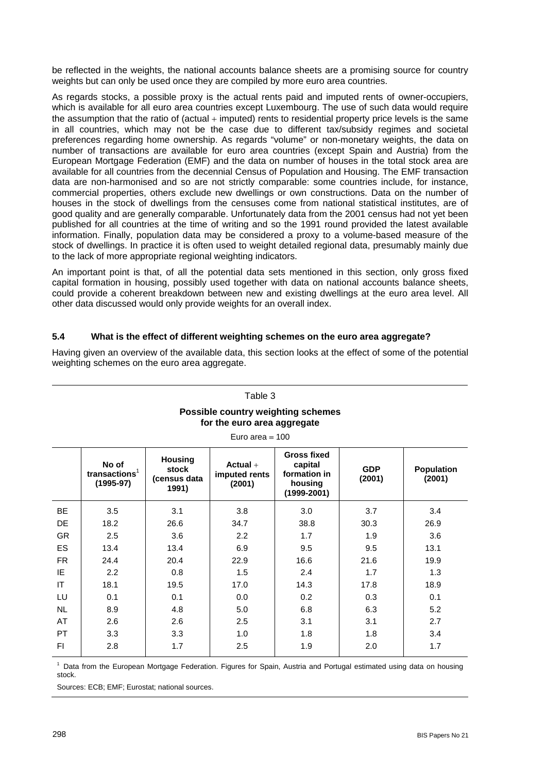be reflected in the weights, the national accounts balance sheets are a promising source for country weights but can only be used once they are compiled by more euro area countries.

As regards stocks, a possible proxy is the actual rents paid and imputed rents of owner-occupiers, which is available for all euro area countries except Luxembourg. The use of such data would require the assumption that the ratio of (actual  $+$  imputed) rents to residential property price levels is the same in all countries, which may not be the case due to different tax/subsidy regimes and societal preferences regarding home ownership. As regards "volume" or non-monetary weights, the data on number of transactions are available for euro area countries (except Spain and Austria) from the European Mortgage Federation (EMF) and the data on number of houses in the total stock area are available for all countries from the decennial Census of Population and Housing. The EMF transaction data are non-harmonised and so are not strictly comparable: some countries include, for instance, commercial properties, others exclude new dwellings or own constructions. Data on the number of houses in the stock of dwellings from the censuses come from national statistical institutes, are of good quality and are generally comparable. Unfortunately data from the 2001 census had not yet been published for all countries at the time of writing and so the 1991 round provided the latest available information. Finally, population data may be considered a proxy to a volume-based measure of the stock of dwellings. In practice it is often used to weight detailed regional data, presumably mainly due to the lack of more appropriate regional weighting indicators.

An important point is that, of all the potential data sets mentioned in this section, only gross fixed capital formation in housing, possibly used together with data on national accounts balance sheets, could provide a coherent breakdown between new and existing dwellings at the euro area level. All other data discussed would only provide weights for an overall index.

#### **5.4 What is the effect of different weighting schemes on the euro area aggregate?**

| Table 3<br>Possible country weighting schemes<br>for the euro area aggregate<br>Euro area $= 100$ |                                                                                                                                                                                                                                                                             |      |      |      |      |      |  |  |  |
|---------------------------------------------------------------------------------------------------|-----------------------------------------------------------------------------------------------------------------------------------------------------------------------------------------------------------------------------------------------------------------------------|------|------|------|------|------|--|--|--|
|                                                                                                   | <b>Gross fixed</b><br><b>Housing</b><br>No of<br>capital<br>Actual $+$<br>stock<br><b>GDP</b><br><b>Population</b><br>transactions $1$<br>formation in<br>imputed rents<br>(census data<br>(2001)<br>(2001)<br>$(1995-97)$<br>(2001)<br>housing<br>1991)<br>$(1999 - 2001)$ |      |      |      |      |      |  |  |  |
| <b>BE</b>                                                                                         | 3.5                                                                                                                                                                                                                                                                         | 3.1  | 3.8  | 3.0  | 3.7  | 3.4  |  |  |  |
| <b>DE</b>                                                                                         | 18.2                                                                                                                                                                                                                                                                        | 26.6 | 34.7 | 38.8 | 30.3 | 26.9 |  |  |  |
| <b>GR</b>                                                                                         | 2.5                                                                                                                                                                                                                                                                         | 3.6  | 2.2  | 1.7  | 1.9  | 3.6  |  |  |  |
| ES.                                                                                               | 13.4                                                                                                                                                                                                                                                                        | 13.4 | 6.9  | 9.5  | 9.5  | 13.1 |  |  |  |
| FR.                                                                                               | 24.4                                                                                                                                                                                                                                                                        | 20.4 | 22.9 | 16.6 | 21.6 | 19.9 |  |  |  |
| IE                                                                                                | 2.2                                                                                                                                                                                                                                                                         | 0.8  | 1.5  | 2.4  | 1.7  | 1.3  |  |  |  |
| IT                                                                                                | 18.1                                                                                                                                                                                                                                                                        | 19.5 | 17.0 | 14.3 | 17.8 | 18.9 |  |  |  |
| LU                                                                                                | 0.1                                                                                                                                                                                                                                                                         | 0.1  | 0.0  | 0.2  | 0.3  | 0.1  |  |  |  |
| <b>NL</b>                                                                                         | 8.9                                                                                                                                                                                                                                                                         | 4.8  | 5.0  | 6.8  | 6.3  | 5.2  |  |  |  |
| AT                                                                                                | 2.6                                                                                                                                                                                                                                                                         | 2.6  | 2.5  | 3.1  | 3.1  | 2.7  |  |  |  |
| <b>PT</b>                                                                                         | 3.3                                                                                                                                                                                                                                                                         | 3.3  | 1.0  | 1.8  | 1.8  | 3.4  |  |  |  |
| FI                                                                                                | 2.8                                                                                                                                                                                                                                                                         | 1.7  | 2.5  | 1.9  | 2.0  | 1.7  |  |  |  |

Having given an overview of the available data, this section looks at the effect of some of the potential weighting schemes on the euro area aggregate.

<sup>1</sup> Data from the European Mortgage Federation. Figures for Spain, Austria and Portugal estimated using data on housing stock.

Sources: ECB; EMF; Eurostat; national sources.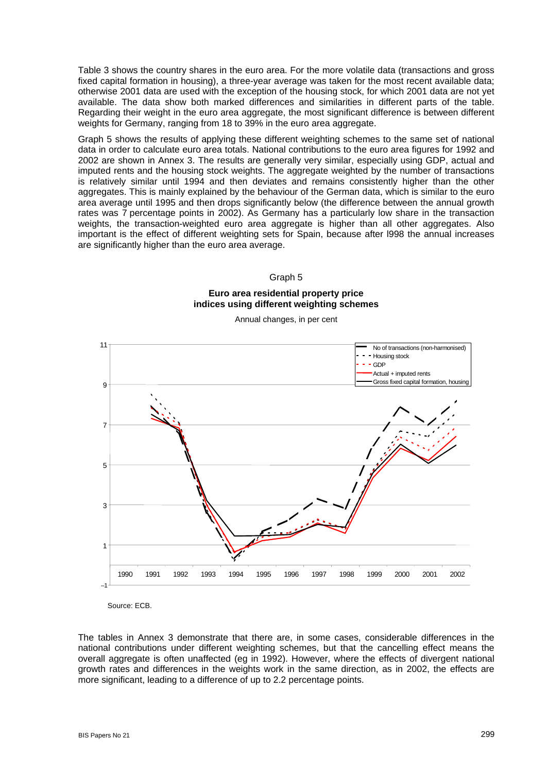Table 3 shows the country shares in the euro area. For the more volatile data (transactions and gross fixed capital formation in housing), a three-year average was taken for the most recent available data; otherwise 2001 data are used with the exception of the housing stock, for which 2001 data are not yet available. The data show both marked differences and similarities in different parts of the table. Regarding their weight in the euro area aggregate, the most significant difference is between different weights for Germany, ranging from 18 to 39% in the euro area aggregate.

Graph 5 shows the results of applying these different weighting schemes to the same set of national data in order to calculate euro area totals. National contributions to the euro area figures for 1992 and 2002 are shown in Annex 3. The results are generally very similar, especially using GDP, actual and imputed rents and the housing stock weights. The aggregate weighted by the number of transactions is relatively similar until 1994 and then deviates and remains consistently higher than the other aggregates. This is mainly explained by the behaviour of the German data, which is similar to the euro area average until 1995 and then drops significantly below (the difference between the annual growth rates was 7 percentage points in 2002). As Germany has a particularly low share in the transaction weights, the transaction-weighted euro area aggregate is higher than all other aggregates. Also important is the effect of different weighting sets for Spain, because after l998 the annual increases are significantly higher than the euro area average.

#### Graph 5

#### **Euro area residential property price indices using different weighting schemes**

Annual changes, in per cent



Source: ECB.

The tables in Annex 3 demonstrate that there are, in some cases, considerable differences in the national contributions under different weighting schemes, but that the cancelling effect means the overall aggregate is often unaffected (eg in 1992). However, where the effects of divergent national growth rates and differences in the weights work in the same direction, as in 2002, the effects are more significant, leading to a difference of up to 2.2 percentage points.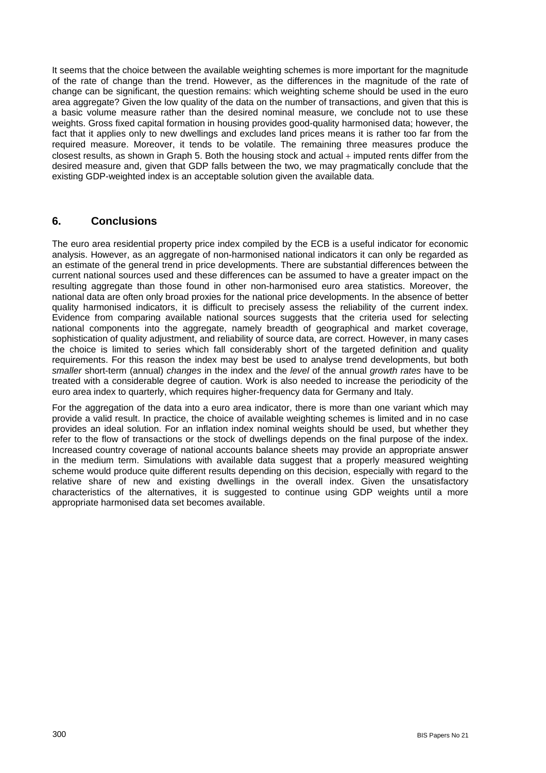It seems that the choice between the available weighting schemes is more important for the magnitude of the rate of change than the trend. However, as the differences in the magnitude of the rate of change can be significant, the question remains: which weighting scheme should be used in the euro area aggregate? Given the low quality of the data on the number of transactions, and given that this is a basic volume measure rather than the desired nominal measure, we conclude not to use these weights. Gross fixed capital formation in housing provides good-quality harmonised data; however, the fact that it applies only to new dwellings and excludes land prices means it is rather too far from the required measure. Moreover, it tends to be volatile. The remaining three measures produce the closest results, as shown in Graph 5. Both the housing stock and actual + imputed rents differ from the desired measure and, given that GDP falls between the two, we may pragmatically conclude that the existing GDP-weighted index is an acceptable solution given the available data.

# **6. Conclusions**

The euro area residential property price index compiled by the ECB is a useful indicator for economic analysis. However, as an aggregate of non-harmonised national indicators it can only be regarded as an estimate of the general trend in price developments. There are substantial differences between the current national sources used and these differences can be assumed to have a greater impact on the resulting aggregate than those found in other non-harmonised euro area statistics. Moreover, the national data are often only broad proxies for the national price developments. In the absence of better quality harmonised indicators, it is difficult to precisely assess the reliability of the current index. Evidence from comparing available national sources suggests that the criteria used for selecting national components into the aggregate, namely breadth of geographical and market coverage, sophistication of quality adjustment, and reliability of source data, are correct. However, in many cases the choice is limited to series which fall considerably short of the targeted definition and quality requirements. For this reason the index may best be used to analyse trend developments, but both *smaller* short-term (annual) *changes* in the index and the *level* of the annual *growth rates* have to be treated with a considerable degree of caution. Work is also needed to increase the periodicity of the euro area index to quarterly, which requires higher-frequency data for Germany and Italy.

For the aggregation of the data into a euro area indicator, there is more than one variant which may provide a valid result. In practice, the choice of available weighting schemes is limited and in no case provides an ideal solution. For an inflation index nominal weights should be used, but whether they refer to the flow of transactions or the stock of dwellings depends on the final purpose of the index. Increased country coverage of national accounts balance sheets may provide an appropriate answer in the medium term. Simulations with available data suggest that a properly measured weighting scheme would produce quite different results depending on this decision, especially with regard to the relative share of new and existing dwellings in the overall index. Given the unsatisfactory characteristics of the alternatives, it is suggested to continue using GDP weights until a more appropriate harmonised data set becomes available.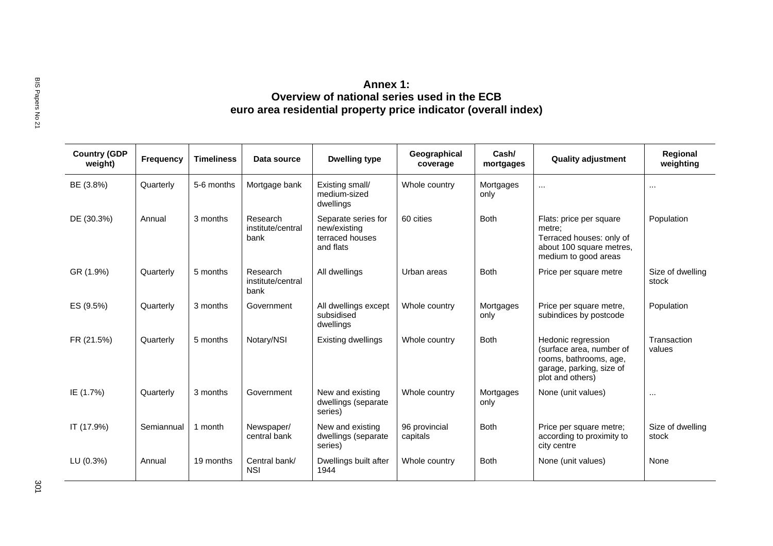| <b>Country (GDP</b><br>weight) | Frequency  | <b>Timeliness</b> | Data source                           | <b>Dwelling type</b>                                                | Geographical<br>coverage  | Cash/<br>mortgages | <b>Quality adjustment</b>                                                                                                | Regional<br>weighting     |
|--------------------------------|------------|-------------------|---------------------------------------|---------------------------------------------------------------------|---------------------------|--------------------|--------------------------------------------------------------------------------------------------------------------------|---------------------------|
| BE (3.8%)                      | Quarterly  | 5-6 months        | Mortgage bank                         | Existing small/<br>medium-sized<br>dwellings                        | Whole country             | Mortgages<br>only  | $\cdots$                                                                                                                 | $\cdots$                  |
| DE (30.3%)                     | Annual     | 3 months          | Research<br>institute/central<br>bank | Separate series for<br>new/existing<br>terraced houses<br>and flats | 60 cities                 | <b>Both</b>        | Flats: price per square<br>metre;<br>Terraced houses: only of<br>about 100 square metres,<br>medium to good areas        | Population                |
| GR (1.9%)                      | Quarterly  | 5 months          | Research<br>institute/central<br>bank | All dwellings                                                       | Urban areas               | <b>Both</b>        | Price per square metre                                                                                                   | Size of dwelling<br>stock |
| ES (9.5%)                      | Quarterly  | 3 months          | Government                            | All dwellings except<br>subsidised<br>dwellings                     | Whole country             | Mortgages<br>only  | Price per square metre,<br>subindices by postcode                                                                        | Population                |
| FR (21.5%)                     | Quarterly  | 5 months          | Notary/NSI                            | Existing dwellings                                                  | Whole country             | <b>Both</b>        | Hedonic regression<br>(surface area, number of<br>rooms, bathrooms, age,<br>garage, parking, size of<br>plot and others) | Transaction<br>values     |
| IE (1.7%)                      | Quarterly  | 3 months          | Government                            | New and existing<br>dwellings (separate<br>series)                  | Whole country             | Mortgages<br>only  | None (unit values)                                                                                                       | $\cdots$                  |
| IT (17.9%)                     | Semiannual | 1 month           | Newspaper/<br>central bank            | New and existing<br>dwellings (separate<br>series)                  | 96 provincial<br>capitals | <b>Both</b>        | Price per square metre;<br>according to proximity to<br>city centre                                                      | Size of dwelling<br>stock |
| LU (0.3%)                      | Annual     | 19 months         | Central bank/<br><b>NSI</b>           | Dwellings built after<br>1944                                       | Whole country             | <b>Both</b>        | None (unit values)                                                                                                       | None                      |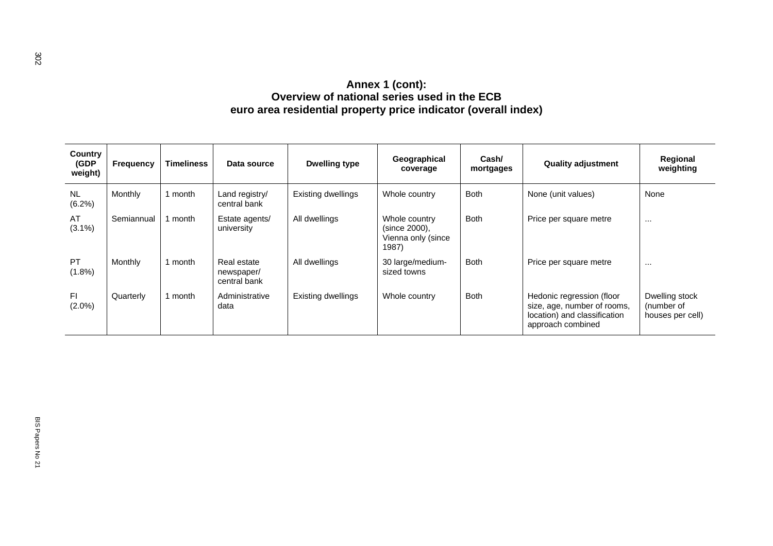| (GDP)<br>weight)    | Frequency  | <b>Timeliness</b> | Data source                               | <b>Dwelling type</b> | Geographical<br>coverage                                      | Cash/<br>mortgages | <b>Quality adjustment</b>                                                                                     | Regional<br>weighting                            |
|---------------------|------------|-------------------|-------------------------------------------|----------------------|---------------------------------------------------------------|--------------------|---------------------------------------------------------------------------------------------------------------|--------------------------------------------------|
| <b>NL</b><br>(6.2%) | Monthly    | 1 month           | Land registry/<br>central bank            | Existing dwellings   | Whole country                                                 | <b>Both</b>        | None (unit values)                                                                                            | None                                             |
| AT<br>$(3.1\%)$     | Semiannual | 1 month           | Estate agents/<br>university              | All dwellings        | Whole country<br>(since 2000),<br>Vienna only (since<br>1987) | <b>Both</b>        | Price per square metre                                                                                        | $\cdots$                                         |
| PT<br>$(1.8\%)$     | Monthly    | 1 month           | Real estate<br>newspaper/<br>central bank | All dwellings        | 30 large/medium-<br>sized towns                               | <b>Both</b>        | Price per square metre                                                                                        | $\cdots$                                         |
| F1<br>$(2.0\%)$     | Quarterly  | 1 month           | Administrative<br>data                    | Existing dwellings   | Whole country                                                 | <b>Both</b>        | Hedonic regression (floor<br>size, age, number of rooms,<br>location) and classification<br>approach combined | Dwelling stock<br>(number of<br>houses per cell) |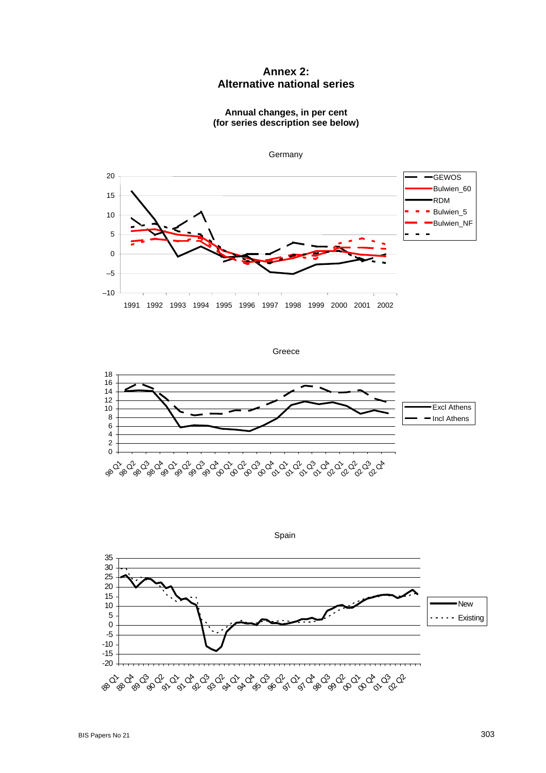# **Annex 2: Alternative national series**

**Annual changes, in per cent (for series description see below)**



**Germany** 

Greece





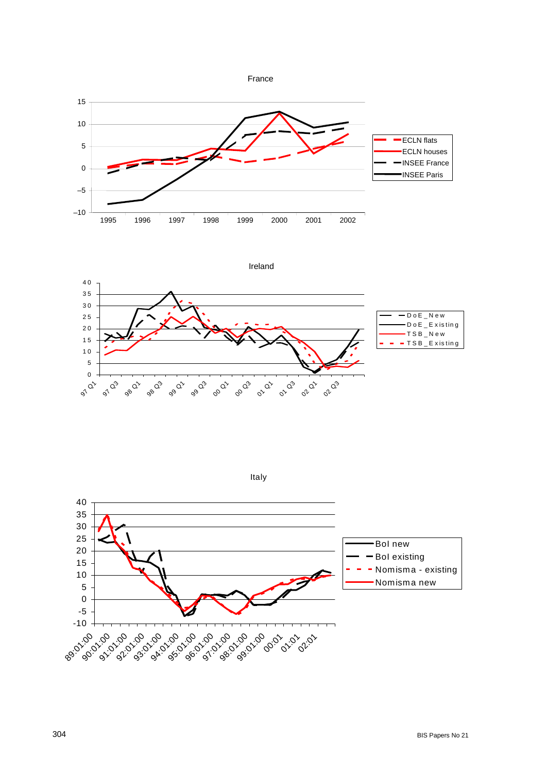









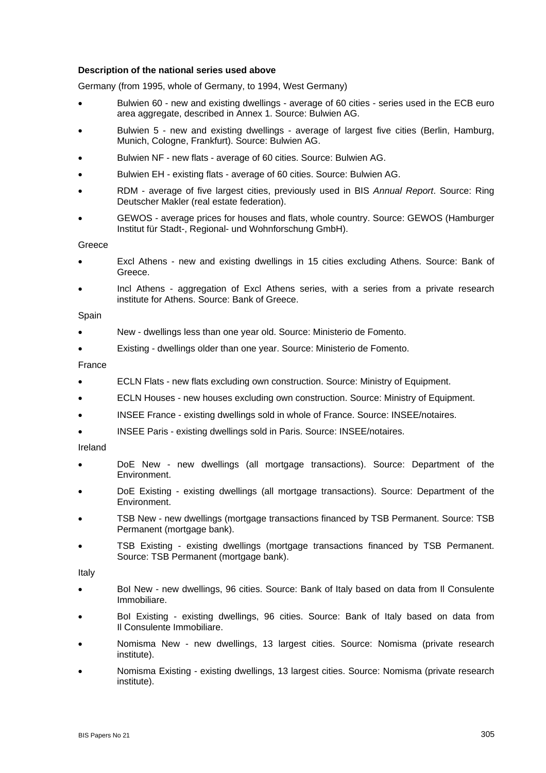#### **Description of the national series used above**

Germany (from 1995, whole of Germany, to 1994, West Germany)

- Bulwien 60 new and existing dwellings average of 60 cities series used in the ECB euro area aggregate, described in Annex 1. Source: Bulwien AG.
- Bulwien 5 new and existing dwellings average of largest five cities (Berlin, Hamburg, Munich, Cologne, Frankfurt). Source: Bulwien AG.
- Bulwien NF new flats average of 60 cities. Source: Bulwien AG.
- Bulwien EH existing flats average of 60 cities. Source: Bulwien AG.
- RDM average of five largest cities, previously used in BIS *Annual Report*. Source: Ring Deutscher Makler (real estate federation).
- GEWOS average prices for houses and flats, whole country. Source: GEWOS (Hamburger Institut für Stadt-, Regional- und Wohnforschung GmbH).

**Greece** 

- Excl Athens new and existing dwellings in 15 cities excluding Athens. Source: Bank of Greece.
- Incl Athens aggregation of Excl Athens series, with a series from a private research institute for Athens. Source: Bank of Greece.

#### Spain

- New dwellings less than one year old. Source: Ministerio de Fomento.
- Existing dwellings older than one year. Source: Ministerio de Fomento.

#### France

- ECLN Flats new flats excluding own construction. Source: Ministry of Equipment.
- ECLN Houses new houses excluding own construction. Source: Ministry of Equipment.
- INSEE France existing dwellings sold in whole of France. Source: INSEE/notaires.
- INSEE Paris existing dwellings sold in Paris. Source: INSEE/notaires.

#### Ireland

- DoE New new dwellings (all mortgage transactions). Source: Department of the Environment.
- DoE Existing existing dwellings (all mortgage transactions). Source: Department of the Environment.
- TSB New new dwellings (mortgage transactions financed by TSB Permanent. Source: TSB Permanent (mortgage bank).
- TSB Existing existing dwellings (mortgage transactions financed by TSB Permanent. Source: TSB Permanent (mortgage bank).

Italy

- BoI New new dwellings, 96 cities. Source: Bank of Italy based on data from Il Consulente Immobiliare.
- BoI Existing existing dwellings, 96 cities. Source: Bank of Italy based on data from Il Consulente Immobiliare.
- Nomisma New new dwellings, 13 largest cities. Source: Nomisma (private research institute).
- Nomisma Existing existing dwellings, 13 largest cities. Source: Nomisma (private research institute).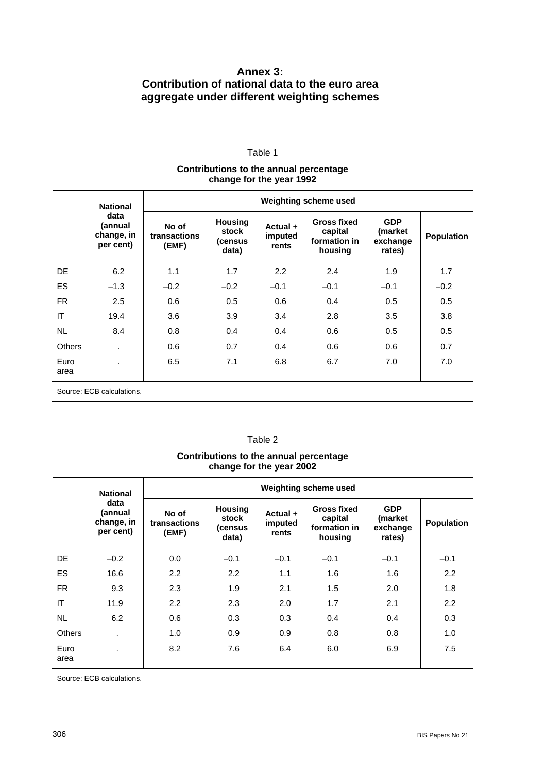# **Annex 3: Contribution of national data to the euro area aggregate under different weighting schemes**

| Table 1                                                            |                                            |                                |                                             |                                |                                                          |                                             |                   |  |
|--------------------------------------------------------------------|--------------------------------------------|--------------------------------|---------------------------------------------|--------------------------------|----------------------------------------------------------|---------------------------------------------|-------------------|--|
| Contributions to the annual percentage<br>change for the year 1992 |                                            |                                |                                             |                                |                                                          |                                             |                   |  |
|                                                                    | <b>National</b>                            |                                |                                             |                                |                                                          |                                             |                   |  |
|                                                                    | data<br>(annual<br>change, in<br>per cent) | No of<br>transactions<br>(EMF) | <b>Housing</b><br>stock<br>(census<br>data) | Actual $+$<br>imputed<br>rents | <b>Gross fixed</b><br>capital<br>formation in<br>housing | <b>GDP</b><br>(market<br>exchange<br>rates) | <b>Population</b> |  |
| DE.                                                                | 6.2                                        | 1.1                            | 1.7                                         | 2.2                            | 2.4                                                      | 1.9                                         | 1.7               |  |
| <b>ES</b>                                                          | $-1.3$                                     | $-0.2$                         | $-0.2$                                      | $-0.1$                         | $-0.1$                                                   | $-0.1$                                      | $-0.2$            |  |
| <b>FR</b>                                                          | 2.5                                        | 0.6                            | 0.5                                         | 0.6                            | 0.4                                                      | 0.5                                         | 0.5               |  |
| IT                                                                 | 19.4                                       | 3.6                            | 3.9                                         | 3.4                            | 2.8                                                      | 3.5                                         | 3.8               |  |
| <b>NL</b>                                                          | 8.4                                        | 0.8                            | 0.4                                         | 0.4                            | 0.6                                                      | 0.5                                         | 0.5               |  |
| <b>Others</b>                                                      |                                            | 0.6                            | 0.7                                         | 0.4                            | 0.6                                                      | 0.6                                         | 0.7               |  |
| Euro<br>area                                                       |                                            | 6.5                            | 7.1                                         | 6.8                            | 6.7                                                      | 7.0                                         | 7.0               |  |
|                                                                    | Source: ECB calculations.                  |                                |                                             |                                |                                                          |                                             |                   |  |

# Table 2

### **Contributions to the annual percentage change for the year 2002**

|                          | <b>National</b><br>data<br>(annual<br>change, in<br>per cent) | Weighting scheme used          |                                             |                                |                                                          |                                             |            |  |  |
|--------------------------|---------------------------------------------------------------|--------------------------------|---------------------------------------------|--------------------------------|----------------------------------------------------------|---------------------------------------------|------------|--|--|
|                          |                                                               | No of<br>transactions<br>(EMF) | <b>Housing</b><br>stock<br>(census<br>data) | Actual $+$<br>imputed<br>rents | <b>Gross fixed</b><br>capital<br>formation in<br>housing | <b>GDP</b><br>(market<br>exchange<br>rates) | Population |  |  |
| DE.                      | $-0.2$                                                        | 0.0                            | $-0.1$                                      | $-0.1$                         | $-0.1$                                                   | $-0.1$                                      | $-0.1$     |  |  |
| ES                       | 16.6                                                          | 2.2                            | 2.2                                         | 1.1                            | 1.6                                                      | 1.6                                         | 2.2        |  |  |
| FR.                      | 9.3                                                           | 2.3                            | 1.9                                         | 2.1                            | 1.5                                                      | 2.0                                         | 1.8        |  |  |
| IT                       | 11.9                                                          | 2.2                            | 2.3                                         | 2.0                            | 1.7                                                      | 2.1                                         | 2.2        |  |  |
| <b>NL</b>                | 6.2                                                           | 0.6                            | 0.3                                         | 0.3                            | 0.4                                                      | 0.4                                         | 0.3        |  |  |
| <b>Others</b>            | $\blacksquare$                                                | 1.0                            | 0.9                                         | 0.9                            | 0.8                                                      | 0.8                                         | 1.0        |  |  |
| Euro<br>area             | $\blacksquare$                                                | 8.2                            | 7.6                                         | 6.4                            | 6.0                                                      | 6.9                                         | 7.5        |  |  |
| Source: ECB calculations |                                                               |                                |                                             |                                |                                                          |                                             |            |  |  |

Source: ECB calculations.